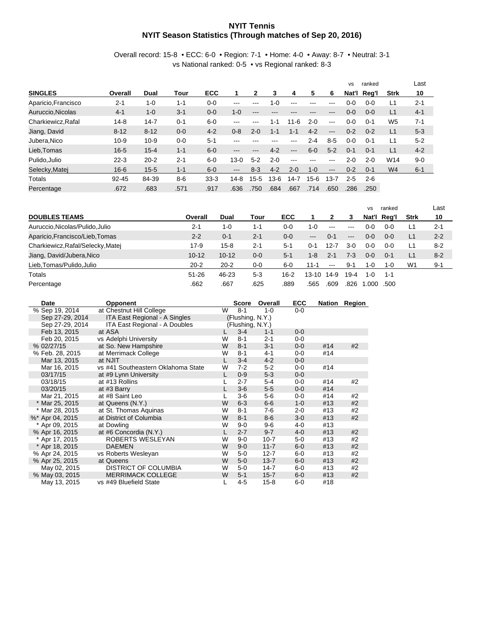## **NYIT Tennis NYIT Season Statistics (Through matches of Sep 20, 2016)**

Overall record: 15-8 • ECC: 6-0 • Region: 7-1 • Home: 4-0 • Away: 8-7 • Neutral: 3-1 vs National ranked: 0-5 • vs Regional ranked: 8-3

|                     |           |          |         |            |          |          |         |          |         |                        | <b>VS</b> | ranked  |                | Last    |
|---------------------|-----------|----------|---------|------------|----------|----------|---------|----------|---------|------------------------|-----------|---------|----------------|---------|
| <b>SINGLES</b>      | Overall   | Dual     | Tour    | <b>ECC</b> |          |          | 3       | 4        | 5       | 6                      | Nat'l     | Reg'l   | <b>Strk</b>    | 10      |
| Aparicio, Francisco | $2 - 1$   | $1 - 0$  | $1 - 1$ | $0 - 0$    | ---      | ---      | $1 - 0$ | ---      | ---     | $-- -$                 | 0-0       | $0 - 0$ | L1             | $2 - 1$ |
| Auruccio.Nicolas    | $4 - 1$   | $1 - 0$  | $3 - 1$ | $0 - 0$    | $1 - 0$  | $---$    | ---     | ---      | ---     | $\qquad \qquad -$      | $0 - 0$   | $0 - 0$ | L1             | $4 - 1$ |
| Charkiewicz.Rafal   | $14 - 8$  | $14 - 7$ | $0 - 1$ | $6-0$      | ---      | ---      | $1 - 1$ | $11 - 6$ | $2 - 0$ | $---$                  | $0 - 0$   | $0 - 1$ | W <sub>5</sub> | $7 - 1$ |
| Jiang, David        | $8 - 12$  | $8 - 12$ | $0 - 0$ | $4 - 2$    | $0 - 8$  | $2 - 0$  | $1 - 1$ | $1 - 1$  | $4 - 2$ | $---$                  | $0 - 2$   | $0 - 2$ | L1             | $5 - 3$ |
| Jubera.Nico         | $10 - 9$  | $10 - 9$ | $0 - 0$ | $5 - 1$    | ---      | ---      | ---     | ---      | $2 - 4$ | $8 - 5$                | $0 - 0$   | $0 - 1$ | L1             | $5 - 2$ |
| Lieb.Tomas          | $16 - 5$  | $15 - 4$ | $1 - 1$ | $6 - 0$    | ---      | ---      | $4 - 2$ | $---$    | $6 - 0$ | $5 - 2$                | $0 - 1$   | $0 - 1$ | L1             | $4 - 2$ |
| Pulido, Julio       | $22 - 3$  | $20 - 2$ | $2 - 1$ | $6-0$      | $13 - 0$ | $5 - 2$  | $2 - 0$ | $---$    | ---     | $\qquad \qquad -$      | $2 - 0$   | $2 - 0$ | W14            | $9 - 0$ |
| Selecky, Matej      | $16 - 6$  | $15 - 5$ | $1 - 1$ | $6 - 0$    | $---$    | $8 - 3$  | $4 - 2$ | $2 - 0$  | $1 - 0$ | $\qquad \qquad \cdots$ | $0 - 2$   | $0 - 1$ | W <sub>4</sub> | $6 - 1$ |
| Totals              | $92 - 45$ | 84-39    | $8-6$   | $33 - 3$   | $14-8$   | $15 - 5$ | $13-6$  | $14 - 7$ | 15-6    | 13-7                   | $2 - 5$   | $2 - 6$ |                |         |
| Percentage          | .672      | .683     | .571    | .917       | .636     | .750     | .684    | .667     | .714    | .650                   | 286       | .250    |                |         |

|                                   |           |           |         |            |           |                        |                                                                                                | vs      | ranked  |                | Last    |
|-----------------------------------|-----------|-----------|---------|------------|-----------|------------------------|------------------------------------------------------------------------------------------------|---------|---------|----------------|---------|
| <b>DOUBLES TEAMS</b>              | Overall   | Dual      | Tour    | <b>ECC</b> |           |                        | 3                                                                                              | Nat'l   | Rea'l   | <b>Strk</b>    | 10      |
| Auruccio, Nicolas/Pulido, Julio   | $2 - 1$   | $1 - 0$   | 1-1     | $0 - 0$    | $1 - 0$   | $---$                  | $\frac{1}{2} \left( \frac{1}{2} \right) \left( \frac{1}{2} \right) \left( \frac{1}{2} \right)$ | 0-0     | $0 - 0$ | L1             | $2 - 1$ |
| Aparicio, Francisco/Lieb, Tomas   | $2 - 2$   | $0 - 1$   | $2 - 1$ | $0 - 0$    | $---$     | $0 - 1$                | $\qquad \qquad \cdots$                                                                         | $0 - 0$ | $0 - 0$ | L1             | $2 - 2$ |
| Charkiewicz, Rafal/Selecky, Matej | 17-9      | $15 - 8$  | $2 - 1$ | $5 - 1$    | 0-1       | 12-7                   | 3-0                                                                                            | $0 - 0$ | $0 - 0$ | L1             | $8 - 2$ |
| Jiang, David/Jubera, Nico         | $10 - 12$ | $10 - 12$ | $0 - 0$ | $5-1$      | $1 - 8$   | $2 - 1$                | $7-3$                                                                                          | $0 - 0$ | $0 - 1$ | L1             | $8 - 2$ |
| Lieb,Tomas/Pulido,Julio           | $20 - 2$  | $20 - 2$  | $0-0$   | $6 - 0$    | 11-1      | $\qquad \qquad \cdots$ | $9 - 1$                                                                                        | 1-0     | $1 - 0$ | W <sub>1</sub> | $9 - 1$ |
| Totals                            | $51 - 26$ | 46-23     | $5 - 3$ | 16-2       | $13 - 10$ | 14-9                   | 19-4                                                                                           | 1-0     | $1 - 1$ |                |         |
| Percentage                        | .662      | .667      | .625    | .889       | .565      | .609                   | .826                                                                                           | .000    | .500    |                |         |

| Date            | <b>Opponent</b>                    |   | <b>Score</b>     | Overall  | <b>ECC</b> |     | Nation Region |
|-----------------|------------------------------------|---|------------------|----------|------------|-----|---------------|
| % Sep 19, 2014  | at Chestnut Hill College           | W | $8 - 1$          | $1 - 0$  | $0 - 0$    |     |               |
| Sep 27-29, 2014 | ITA East Regional - A Singles      |   | (Flushing, N.Y.) |          |            |     |               |
| Sep 27-29, 2014 | ITA East Regional - A Doubles      |   | (Flushing, N.Y.) |          |            |     |               |
| Feb 13, 2015    | at ASA                             |   | $3 - 4$          | $1 - 1$  | $0 - 0$    |     |               |
| Feb 20, 2015    | vs Adelphi University              | W | $8 - 1$          | $2 - 1$  | $0 - 0$    |     |               |
| % 02/27/15      | at So. New Hampshire               | W | $8 - 1$          | $3 - 1$  | $0-0$      | #14 | #2            |
| % Feb. 28, 2015 | at Merrimack College               | W | $8 - 1$          | $4 - 1$  | $0-0$      | #14 |               |
| Mar 13, 2015    | at NJIT                            |   | $3-4$            | $4 - 2$  | $0 - 0$    |     |               |
| Mar 16, 2015    | vs #41 Southeastern Oklahoma State | W | $7-2$            | $5-2$    | $0 - 0$    | #14 |               |
| 03/17/15        | at #9 Lynn University              | L | $0 - 9$          | $5-3$    | $0 - 0$    |     |               |
| 03/18/15        | at #13 Rollins                     |   | $2 - 7$          | $5 - 4$  | 0-0        | #14 | #2            |
| 03/20/15        | at #3 Barry                        |   | $3-6$            | $5-5$    | $0-0$      | #14 |               |
| Mar 21, 2015    | at #8 Saint Leo                    |   | $3-6$            | $5-6$    | $0-0$      | #14 | #2            |
| * Mar 25, 2015  | at Queens (N.Y.)                   | W | $6 - 3$          | $6-6$    | $1 - 0$    | #13 | #2            |
| * Mar 28, 2015  | at St. Thomas Aguinas              | W | $8 - 1$          | 7-6      | $2 - 0$    | #13 | #2            |
| %* Apr 04, 2015 | at District of Columbia            | W | $8 - 1$          | $8 - 6$  | $3-0$      | #13 | #2            |
| * Apr 09, 2015  | at Dowling                         | W | $9 - 0$          | $9-6$    | 4-0        | #13 |               |
| % Apr 16, 2015  | at #6 Concordia (N.Y.)             | L | $2 - 7$          | $9 - 7$  | $4 - 0$    | #13 | #2            |
| * Apr 17, 2015  | ROBERTS WESLEYAN                   | W | $9 - 0$          | $10 - 7$ | $5-0$      | #13 | #2            |
| * Apr 18, 2015  | <b>DAEMEN</b>                      | W | $9 - 0$          | $11 - 7$ | $6-0$      | #13 | #2            |
| % Apr 24, 2015  | vs Roberts Wesleyan                | W | $5-0$            | $12 - 7$ | $6-0$      | #13 | #2            |
| % Apr 25, 2015  | at Queens                          | W | $5-0$            | $13 - 7$ | $6-0$      | #13 | #2            |
| May 02, 2015    | DISTRICT OF COLUMBIA               | W | $5-0$            | $14 - 7$ | $6-0$      | #13 | #2            |
| % May 03, 2015  | <b>MERRIMACK COLLEGE</b>           | W | $5 - 1$          | $15 - 7$ | $6-0$      | #13 | #2            |
| May 13, 2015    | vs #49 Bluefield State             |   | $4 - 5$          | $15 - 8$ | $6-0$      | #18 |               |